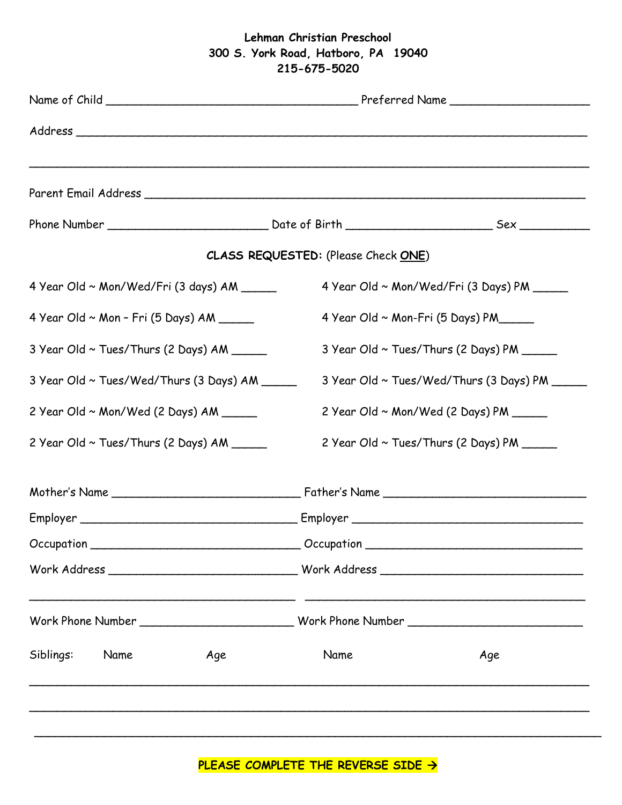## **Lehman Christian Preschool 300 S. York Road, Hatboro, PA 19040 215-675-5020**

|                                                | <b>CLASS REQUESTED:</b> (Please Check ONE)                                                           |  |
|------------------------------------------------|------------------------------------------------------------------------------------------------------|--|
| 4 Year Old ~ Mon/Wed/Fri (3 days) AM _____     | 4 Year Old ~ Mon/Wed/Fri (3 Days) PM _____                                                           |  |
| $4$ Year Old ~ Mon - Fri (5 Days) AM ______    | 4 Year Old $\sim$ Mon-Fri (5 Days) PM_____                                                           |  |
| 3 Year Old ~ Tues/Thurs (2 Days) AM _____      | 3 Year Old ~ Tues/Thurs (2 Days) PM _____                                                            |  |
| 3 Year Old ~ Tues/Wed/Thurs (3 Days) AM ______ | 3 Year Old ~ Tues/Wed/Thurs (3 Days) PM ______                                                       |  |
| 2 Year Old ~ Mon/Wed (2 Days) AM               | 2 Year Old ~ Mon/Wed (2 Days) PM _____                                                               |  |
| 2 Year Old ~ Tues/Thurs (2 Days) AM ______     | 2 Year Old ~ Tues/Thurs (2 Days) PM                                                                  |  |
|                                                |                                                                                                      |  |
|                                                |                                                                                                      |  |
|                                                | Occupation _________________________________Occupation _________________________                     |  |
|                                                |                                                                                                      |  |
|                                                | Work Phone Number __________________________________Work Phone Number ______________________________ |  |
| Siblings:<br>Name<br>Age                       | Name<br>Age                                                                                          |  |